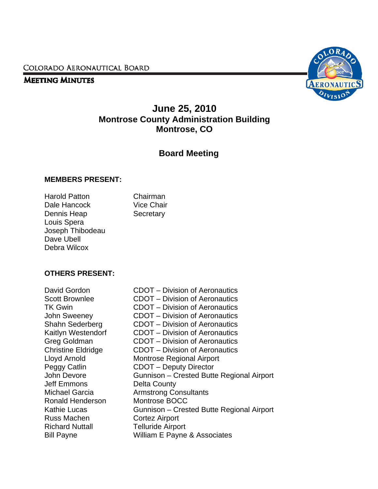COLORADO AERONAUTICAL BOARD

#### **MEETING MINUTES**



# **June 25, 2010 Montrose County Administration Building Montrose, CO**

# **Board Meeting**

#### **MEMBERS PRESENT:**

Harold Patton Chairman Dale Hancock Vice Chair Dennis Heap Secretary Louis Spera Joseph Thibodeau Dave Ubell Debra Wilcox

#### **OTHERS PRESENT:**

David Gordon CDOT – Division of Aeronautics Jeff Emmons Delta County Ronald Henderson Montrose BOCC Russ Machen **Cortez Airport** Richard Nuttall **Telluride Airport** 

Scott Brownlee CDOT – Division of Aeronautics TK Gwin CDOT – Division of Aeronautics John Sweeney CDOT – Division of Aeronautics Shahn Sederberg CDOT – Division of Aeronautics Kaitlyn Westendorf CDOT – Division of Aeronautics Greg Goldman CDOT – Division of Aeronautics Christine Eldridge CDOT – Division of Aeronautics Lloyd Arnold Montrose Regional Airport Peggy Catlin CDOT – Deputy Director John Devore Gunnison – Crested Butte Regional Airport Michael Garcia Armstrong Consultants Kathie Lucas **Gunnison – Crested Butte Regional Airport** Bill Payne William E Payne & Associates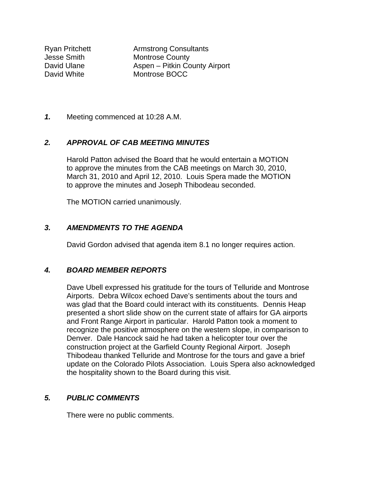Ryan Pritchett Armstrong Consultants **Jesse Smith Montrose County** David Ulane **Aspen** – Pitkin County Airport David White Montrose BOCC

*1.* Meeting commenced at 10:28 A.M.

#### *2. APPROVAL OF CAB MEETING MINUTES*

Harold Patton advised the Board that he would entertain a MOTION to approve the minutes from the CAB meetings on March 30, 2010, March 31, 2010 and April 12, 2010. Louis Spera made the MOTION to approve the minutes and Joseph Thibodeau seconded.

The MOTION carried unanimously.

#### *3. AMENDMENTS TO THE AGENDA*

David Gordon advised that agenda item 8.1 no longer requires action.

#### *4. BOARD MEMBER REPORTS*

Dave Ubell expressed his gratitude for the tours of Telluride and Montrose Airports. Debra Wilcox echoed Dave's sentiments about the tours and was glad that the Board could interact with its constituents. Dennis Heap presented a short slide show on the current state of affairs for GA airports and Front Range Airport in particular. Harold Patton took a moment to recognize the positive atmosphere on the western slope, in comparison to Denver. Dale Hancock said he had taken a helicopter tour over the construction project at the Garfield County Regional Airport. Joseph Thibodeau thanked Telluride and Montrose for the tours and gave a brief update on the Colorado Pilots Association. Louis Spera also acknowledged the hospitality shown to the Board during this visit.

#### *5. PUBLIC COMMENTS*

There were no public comments.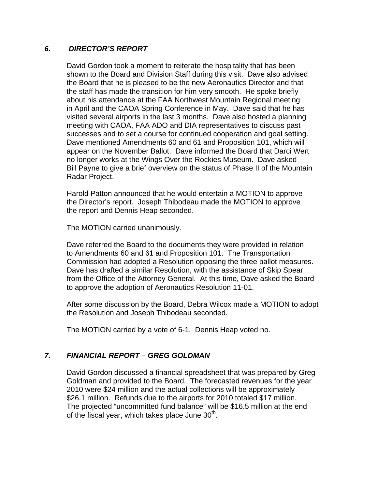#### *6. DIRECTOR'S REPORT*

David Gordon took a moment to reiterate the hospitality that has been shown to the Board and Division Staff during this visit. Dave also advised the Board that he is pleased to be the new Aeronautics Director and that the staff has made the transition for him very smooth. He spoke briefly about his attendance at the FAA Northwest Mountain Regional meeting in April and the CAOA Spring Conference in May. Dave said that he has visited several airports in the last 3 months. Dave also hosted a planning meeting with CAOA, FAA ADO and DIA representatives to discuss past successes and to set a course for continued cooperation and goal setting. Dave mentioned Amendments 60 and 61 and Proposition 101, which will appear on the November Ballot. Dave informed the Board that Darci Wert no longer works at the Wings Over the Rockies Museum. Dave asked Bill Payne to give a brief overview on the status of Phase II of the Mountain Radar Project.

 Harold Patton announced that he would entertain a MOTION to approve the Director's report. Joseph Thibodeau made the MOTION to approve the report and Dennis Heap seconded.

The MOTION carried unanimously.

 Dave referred the Board to the documents they were provided in relation to Amendments 60 and 61 and Proposition 101. The Transportation Commission had adopted a Resolution opposing the three ballot measures. Dave has drafted a similar Resolution, with the assistance of Skip Spear from the Office of the Attorney General. At this time, Dave asked the Board to approve the adoption of Aeronautics Resolution 11-01.

 After some discussion by the Board, Debra Wilcox made a MOTION to adopt the Resolution and Joseph Thibodeau seconded.

The MOTION carried by a vote of 6-1. Dennis Heap voted no.

## *7. FINANCIAL REPORT – GREG GOLDMAN*

David Gordon discussed a financial spreadsheet that was prepared by Greg Goldman and provided to the Board. The forecasted revenues for the year 2010 were \$24 million and the actual collections will be approximately \$26.1 million. Refunds due to the airports for 2010 totaled \$17 million. The projected "uncommitted fund balance" will be \$16.5 million at the end of the fiscal year, which takes place June  $30<sup>th</sup>$ .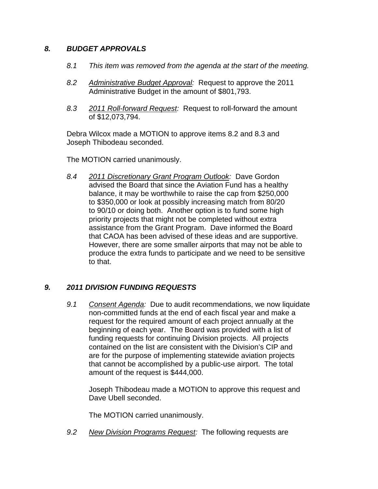## *8. BUDGET APPROVALS*

- *8.1 This item was removed from the agenda at the start of the meeting.*
- *8.2 Administrative Budget Approval:* Request to approve the 2011 Administrative Budget in the amount of \$801,793.
- *8.3 2011 Roll-forward Request:* Request to roll-forward the amount of \$12,073,794.

 Debra Wilcox made a MOTION to approve items 8.2 and 8.3 and Joseph Thibodeau seconded.

The MOTION carried unanimously.

*8.4 2011 Discretionary Grant Program Outlook:* Dave Gordon advised the Board that since the Aviation Fund has a healthy balance, it may be worthwhile to raise the cap from \$250,000 to \$350,000 or look at possibly increasing match from 80/20 to 90/10 or doing both. Another option is to fund some high priority projects that might not be completed without extra assistance from the Grant Program. Dave informed the Board that CAOA has been advised of these ideas and are supportive. However, there are some smaller airports that may not be able to produce the extra funds to participate and we need to be sensitive to that.

## *9. 2011 DIVISION FUNDING REQUESTS*

*9.1 Consent Agenda:* Due to audit recommendations, we now liquidate non-committed funds at the end of each fiscal year and make a request for the required amount of each project annually at the beginning of each year. The Board was provided with a list of funding requests for continuing Division projects. All projects contained on the list are consistent with the Division's CIP and are for the purpose of implementing statewide aviation projects that cannot be accomplished by a public-use airport. The total amount of the request is \$444,000.

 Joseph Thibodeau made a MOTION to approve this request and Dave Ubell seconded.

The MOTION carried unanimously.

*9.2 New Division Programs Request:* The following requests are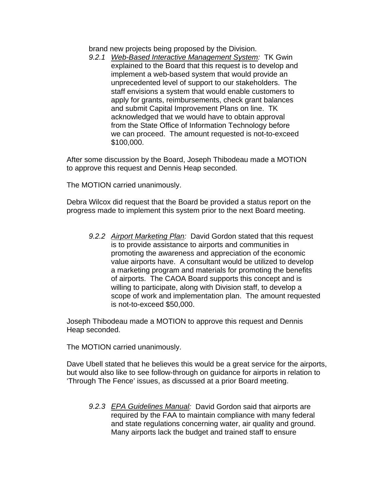brand new projects being proposed by the Division.

 *9.2.1 Web-Based Interactive Management System:* TK Gwin explained to the Board that this request is to develop and implement a web-based system that would provide an unprecedented level of support to our stakeholders. The staff envisions a system that would enable customers to apply for grants, reimbursements, check grant balances and submit Capital Improvement Plans on line. TK acknowledged that we would have to obtain approval from the State Office of Information Technology before we can proceed. The amount requested is not-to-exceed \$100,000.

After some discussion by the Board, Joseph Thibodeau made a MOTION to approve this request and Dennis Heap seconded.

The MOTION carried unanimously.

 Debra Wilcox did request that the Board be provided a status report on the progress made to implement this system prior to the next Board meeting.

 *9.2.2 Airport Marketing Plan:* David Gordon stated that this request is to provide assistance to airports and communities in promoting the awareness and appreciation of the economic value airports have. A consultant would be utilized to develop a marketing program and materials for promoting the benefits of airports. The CAOA Board supports this concept and is willing to participate, along with Division staff, to develop a scope of work and implementation plan. The amount requested is not-to-exceed \$50,000.

 Joseph Thibodeau made a MOTION to approve this request and Dennis Heap seconded.

The MOTION carried unanimously.

 Dave Ubell stated that he believes this would be a great service for the airports, but would also like to see follow-through on guidance for airports in relation to 'Through The Fence' issues, as discussed at a prior Board meeting.

 *9.2.3 EPA Guidelines Manual:* David Gordon said that airports are required by the FAA to maintain compliance with many federal and state regulations concerning water, air quality and ground. Many airports lack the budget and trained staff to ensure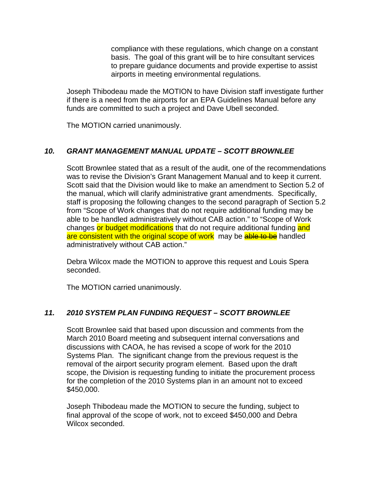compliance with these regulations, which change on a constant basis. The goal of this grant will be to hire consultant services to prepare guidance documents and provide expertise to assist airports in meeting environmental regulations.

 Joseph Thibodeau made the MOTION to have Division staff investigate further if there is a need from the airports for an EPA Guidelines Manual before any funds are committed to such a project and Dave Ubell seconded.

The MOTION carried unanimously.

## *10. GRANT MANAGEMENT MANUAL UPDATE – SCOTT BROWNLEE*

 Scott Brownlee stated that as a result of the audit, one of the recommendations was to revise the Division's Grant Management Manual and to keep it current. Scott said that the Division would like to make an amendment to Section 5.2 of the manual, which will clarify administrative grant amendments. Specifically, staff is proposing the following changes to the second paragraph of Section 5.2 from "Scope of Work changes that do not require additional funding may be able to be handled administratively without CAB action." to "Scope of Work changes or budget modifications that do not require additional funding and are consistent with the original scope of work may be able to be handled administratively without CAB action."

 Debra Wilcox made the MOTION to approve this request and Louis Spera seconded.

The MOTION carried unanimously.

## *11. 2010 SYSTEM PLAN FUNDING REQUEST – SCOTT BROWNLEE*

Scott Brownlee said that based upon discussion and comments from the March 2010 Board meeting and subsequent internal conversations and discussions with CAOA, he has revised a scope of work for the 2010 Systems Plan. The significant change from the previous request is the removal of the airport security program element. Based upon the draft scope, the Division is requesting funding to initiate the procurement process for the completion of the 2010 Systems plan in an amount not to exceed \$450,000.

 Joseph Thibodeau made the MOTION to secure the funding, subject to final approval of the scope of work, not to exceed \$450,000 and Debra Wilcox seconded.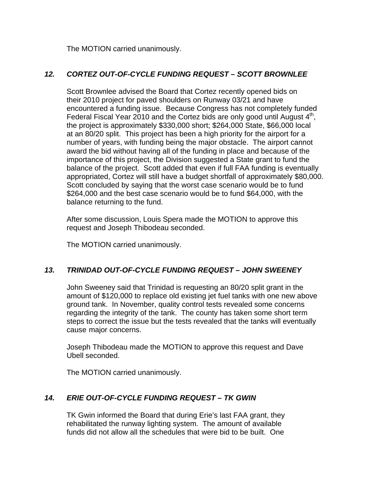The MOTION carried unanimously.

# *12. CORTEZ OUT-OF-CYCLE FUNDING REQUEST – SCOTT BROWNLEE*

 Scott Brownlee advised the Board that Cortez recently opened bids on their 2010 project for paved shoulders on Runway 03/21 and have encountered a funding issue. Because Congress has not completely funded Federal Fiscal Year 2010 and the Cortez bids are only good until August  $4<sup>th</sup>$ , the project is approximately \$330,000 short; \$264,000 State, \$66,000 local at an 80/20 split. This project has been a high priority for the airport for a number of years, with funding being the major obstacle. The airport cannot award the bid without having all of the funding in place and because of the importance of this project, the Division suggested a State grant to fund the balance of the project. Scott added that even if full FAA funding is eventually appropriated, Cortez will still have a budget shortfall of approximately \$80,000. Scott concluded by saying that the worst case scenario would be to fund \$264,000 and the best case scenario would be to fund \$64,000, with the balance returning to the fund.

 After some discussion, Louis Spera made the MOTION to approve this request and Joseph Thibodeau seconded.

The MOTION carried unanimously.

## *13. TRINIDAD OUT-OF-CYCLE FUNDING REQUEST – JOHN SWEENEY*

John Sweeney said that Trinidad is requesting an 80/20 split grant in the amount of \$120,000 to replace old existing jet fuel tanks with one new above ground tank. In November, quality control tests revealed some concerns regarding the integrity of the tank. The county has taken some short term steps to correct the issue but the tests revealed that the tanks will eventually cause major concerns.

 Joseph Thibodeau made the MOTION to approve this request and Dave Ubell seconded.

The MOTION carried unanimously.

## *14. ERIE OUT-OF-CYCLE FUNDING REQUEST – TK GWIN*

TK Gwin informed the Board that during Erie's last FAA grant, they rehabilitated the runway lighting system. The amount of available funds did not allow all the schedules that were bid to be built. One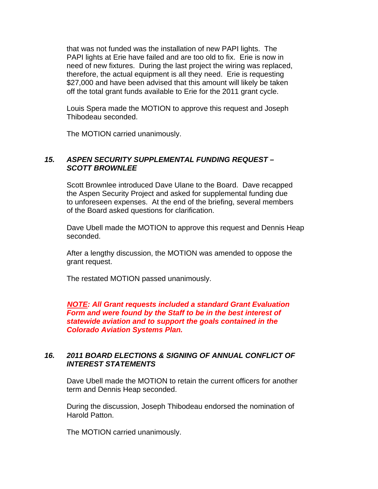that was not funded was the installation of new PAPI lights. The PAPI lights at Erie have failed and are too old to fix. Erie is now in need of new fixtures. During the last project the wiring was replaced, therefore, the actual equipment is all they need. Erie is requesting \$27,000 and have been advised that this amount will likely be taken off the total grant funds available to Erie for the 2011 grant cycle.

Louis Spera made the MOTION to approve this request and Joseph Thibodeau seconded.

The MOTION carried unanimously.

#### *15. ASPEN SECURITY SUPPLEMENTAL FUNDING REQUEST – SCOTT BROWNLEE*

 Scott Brownlee introduced Dave Ulane to the Board. Dave recapped the Aspen Security Project and asked for supplemental funding due to unforeseen expenses. At the end of the briefing, several members of the Board asked questions for clarification.

 Dave Ubell made the MOTION to approve this request and Dennis Heap seconded.

 After a lengthy discussion, the MOTION was amended to oppose the grant request.

The restated MOTION passed unanimously.

 *NOTE: All Grant requests included a standard Grant Evaluation Form and were found by the Staff to be in the best interest of statewide aviation and to support the goals contained in the Colorado Aviation Systems Plan.* 

#### *16. 2011 BOARD ELECTIONS & SIGNING OF ANNUAL CONFLICT OF INTEREST STATEMENTS*

Dave Ubell made the MOTION to retain the current officers for another term and Dennis Heap seconded.

 During the discussion, Joseph Thibodeau endorsed the nomination of Harold Patton.

The MOTION carried unanimously.